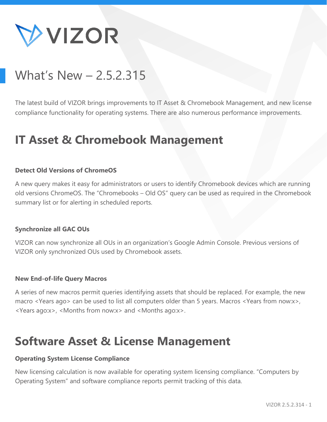

# What's New – 2.5.2.315

The latest build of VIZOR brings improvements to IT Asset & Chromebook Management, and new license compliance functionality for operating systems. There are also numerous performance improvements.

# **IT Asset & Chromebook Management**

#### **Detect Old Versions of ChromeOS**

A new query makes it easy for administrators or users to identify Chromebook devices which are running old versions ChromeOS. The "Chromebooks – Old OS" query can be used as required in the Chromebook summary list or for alerting in scheduled reports.

#### **Synchronize all GAC OUs**

VIZOR can now synchronize all OUs in an organization's Google Admin Console. Previous versions of VIZOR only synchronized OUs used by Chromebook assets.

#### **New End-of-life Query Macros**

A series of new macros permit queries identifying assets that should be replaced. For example, the new macro <Years ago> can be used to list all computers older than 5 years. Macros <Years from now:x>, <Years ago:x>, <Months from now:x> and <Months ago:x>.

## **Software Asset & License Management**

#### **Operating System License Compliance**

New licensing calculation is now available for operating system licensing compliance. "Computers by Operating System" and software compliance reports permit tracking of this data.